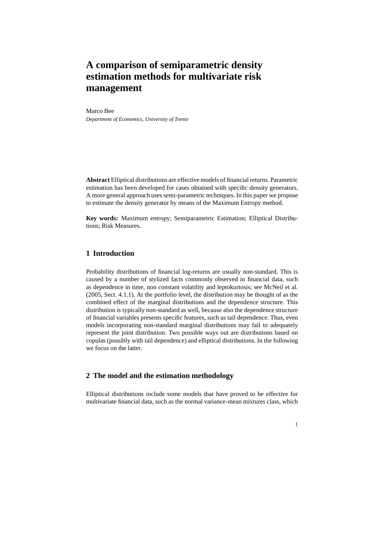# **A comparison of semiparametric density estimation methods for multivariate risk management**

#### Marco Bee

*Department of Economics, University of Trento*

**Abstract** Elliptical distributions are effective models of financial returns. Parametric estimation has been developed for cases obtained with specific density generators. A more general approach uses semi-parametric techniques. In this paper we propose to estimate the density generator by means of the Maximum Entropy method.

**Key words:** Maximum entropy; Semiparametric Estimation; Elliptical Distributions; Risk Measures.

### **1 Introduction**

Probability distributions of financial log-returns are usually non-standard. This is caused by a number of stylized facts commonly observed in financial data, such as dependence in time, non constant volatility and leptokurtosis; see McNeil et al. (2005, Sect. 4.1.1). At the portfolio level, the distribution may be thought of as the combined effect of the marginal distributions and the dependence structure. This distribution is typically non-standard as well, because also the dependence structure of financial variables presents specific features, such as tail dependence. Thus, even models incorporating non-standard marginal distributions may fail to adequately represent the joint distribution. Two possible ways out are distributions based on copulas (possibly with tail dependence) and elliptical distributions. In the following we focus on the latter.

## **2 The model and the estimation methodology**

Elliptical distributions include some models that have proved to be effective for multivariate financial data, such as the normal variance-mean mixtures class, which

1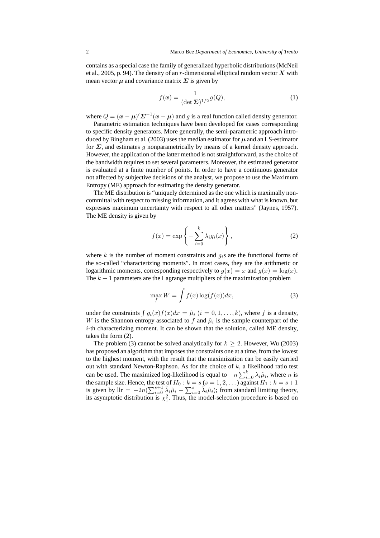contains as a special case the family of generalized hyperbolic distributions (McNeil et al., 2005, p. 94). The density of an r-dimensional elliptical random vector  $X$  with mean vector  $\mu$  and covariance matrix  $\Sigma$  is given by

$$
f(\boldsymbol{x}) = \frac{1}{(\det \boldsymbol{\Sigma})^{1/2}} g(Q),\tag{1}
$$

where  $Q = (\mathbf{x} - \boldsymbol{\mu})' \boldsymbol{\Sigma}^{-1} (\mathbf{x} - \boldsymbol{\mu})$  and g is a real function called density generator.

Parametric estimation techniques have been developed for cases corresponding to specific density generators. More generally, the semi-parametric approach introduced by Bingham et al. (2003) uses the median estimator for  $\mu$  and an LS-estimator for  $\Sigma$ , and estimates q nonparametrically by means of a kernel density approach. However, the application of the latter method is not straightforward, as the choice of the bandwidth requires to set several parameters. Moreover, the estimated generator is evaluated at a finite number of points. In order to have a continuous generator not affected by subjective decisions of the analyst, we propose to use the Maximum Entropy (ME) approach for estimating the density generator.

The ME distribution is "uniquely determined as the one which is maximally noncommittal with respect to missing information, and it agrees with what is known, but expresses maximum uncertainty with respect to all other matters" (Jaynes, 1957). The ME density is given by

$$
f(x) = \exp\left\{-\sum_{i=0}^{k} \lambda_i g_i(x)\right\},\tag{2}
$$

where k is the number of moment constraints and  $q_i$ s are the functional forms of the so-called "characterizing moments". In most cases, they are the arithmetic or logarithmic moments, corresponding respectively to  $q(x) = x$  and  $q(x) = \log(x)$ . The  $k + 1$  parameters are the Lagrange multipliers of the maximization problem

$$
\max_{f} W = \int f(x) \log(f(x)) dx,
$$
\n(3)

under the constraints  $\int g_i(x)f(x)dx = \hat{\mu}_i$   $(i = 0, 1, \dots, k)$ , where f is a density, W is the Shannon entropy associated to f and  $\hat{\mu}_i$  is the sample counterpart of the  $i$ -th characterizing moment. It can be shown that the solution, called ME density, takes the form (2).

The problem (3) cannot be solved analytically for  $k \geq 2$ . However, Wu (2003) has proposed an algorithm that imposes the constraints one at a time, from the lowest to the highest moment, with the result that the maximization can be easily carried out with standard Newton-Raphson. As for the choice of  $k$ , a likelihood ratio test can be used. The maximized log-likelihood is equal to  $-n \sum_{i=0}^{k} \lambda_i \hat{\mu}_i$ , where *n* is the sample size. Hence, the test of  $H_0: k = s (s = 1, 2, ...)$  against  $H_1: k = s + 1$ is given by  $\text{llr} = -2n(\sum_{i=0}^{s+1} \hat{\lambda}_i \hat{\mu}_i - \sum_{i=0}^{s} \hat{\lambda}_i \hat{\mu}_i)$ ; from standard limiting theory, its asymptotic distribution is  $\chi_1^2$ . Thus, the model-selection procedure is based on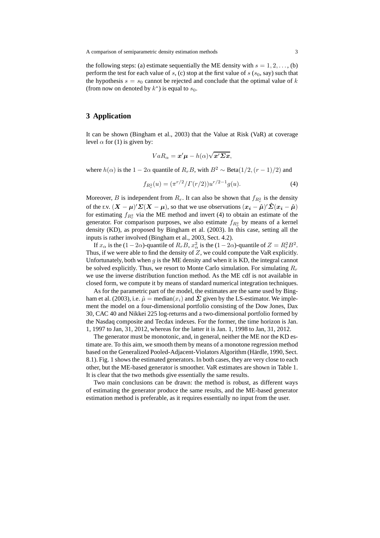the following steps: (a) estimate sequentially the ME density with  $s = 1, 2, \dots$ , (b) perform the test for each value of s, (c) stop at the first value of  $s$  ( $s<sub>0</sub>$ , say) such that the hypothesis  $s = s_0$  cannot be rejected and conclude that the optimal value of k (from now on denoted by  $k^*$ ) is equal to  $s_0$ .

### **3 Application**

It can be shown (Bingham et al., 2003) that the Value at Risk (VaR) at coverage level  $\alpha$  for (1) is given by:

$$
VaR_{\alpha} = \mathbf{x}'\boldsymbol{\mu} - h(\alpha)\sqrt{\mathbf{x}'\boldsymbol{\Sigma}\mathbf{x}},
$$

where  $h(\alpha)$  is the 1 − 2 $\alpha$  quantile of  $R_rB$ , with  $B^2 \sim \text{Beta}(1/2, (r-1)/2)$  and

$$
f_{R_r^2}(u) = (\pi^{r/2}/\Gamma(r/2))u^{r/2-1}g(u).
$$
 (4)

Moreover, B is independent from  $R_r$ . It can also be shown that  $f_{R_r^2}$  is the density of the r.v.  $(X - \mu)' \Sigma(X - \mu)$ , so that we use observations  $(x_i - \hat{\mu})' \hat{\Sigma}(x_i - \hat{\mu})$ for estimating  $f_{R_r^2}$  via the ME method and invert (4) to obtain an estimate of the generator. For comparison purposes, we also estimate  $f_{R_r^2}$  by means of a kernel density (KD), as proposed by Bingham et al. (2003). In this case, setting all the inputs is rather involved (Bingham et al., 2003, Sect. 4.2).

If  $x_\alpha$  is the  $(1-2\alpha)$ -quantile of  $R_rB$ ,  $x_\alpha^2$  is the  $(1-2\alpha)$ -quantile of  $Z = R_r^2B^2$ . Thus, if we were able to find the density of  $Z$ , we could compute the VaR explicitly. Unfortunately, both when  $g$  is the ME density and when it is KD, the integral cannot be solved explicitly. Thus, we resort to Monte Carlo simulation. For simulating  $R_r$ we use the inverse distribution function method. As the ME cdf is not available in closed form, we compute it by means of standard numerical integration techniques.

As for the parametric part of the model, the estimates are the same used by Bingham et al. (2003), i.e.  $\hat{\mu} = \text{median}(x_i)$  and  $\Sigma$  given by the LS-estimator. We implement the model on a four-dimensional portfolio consisting of the Dow Jones, Dax 30, CAC 40 and Nikkei 225 log-returns and a two-dimensional portfolio formed by the Nasdaq composite and Tecdax indexes. For the former, the time horizon is Jan. 1, 1997 to Jan, 31, 2012, whereas for the latter it is Jan. 1, 1998 to Jan, 31, 2012.

The generator must be monotonic, and, in general, neither the ME nor the KD estimate are. To this aim, we smooth them by means of a monotone regression method based on the Generalized Pooled-Adjacent-Violators Algorithm (Härdle, 1990, Sect. 8.1). Fig. 1 shows the estimated generators. In both cases, they are very close to each other, but the ME-based generator is smoother. VaR estimates are shown in Table 1. It is clear that the two methods give essentially the same results.

Two main conclusions can be drawn: the method is robust, as different ways of estimating the generator produce the same results, and the ME-based generator estimation method is preferable, as it requires essentially no input from the user.